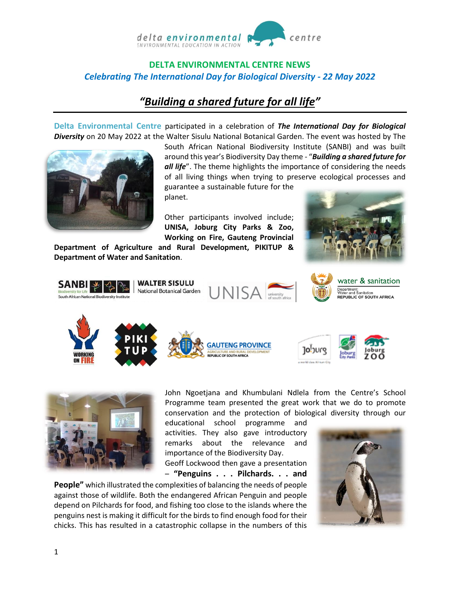

## **DELTA ENVIRONMENTAL CENTRE NEWS** *Celebrating The International Day for Biological Diversity - 22 May 2022*

# *"[Building a shared future for all](https://www.unep.org/events/un-day/international-day-biological-diversity-2022) life"*

**Delta Environmental Centre** participated in a celebration of *The International Day for Biological Diversity* on 20 May 2022 at the Walter Sisulu National Botanical Garden. The event was hosted by The



South African National Biodiversity Institute (SANBI) and was built around this year's Biodiversity Day theme - "*Building a shared future for all life*". The theme highlights the importance of considering the needs of all living things when trying to preserve ecological processes and guarantee a sustainable future for the

planet.

Other participants involved include; **UNISA, Joburg City Parks & Zoo, Working on Fire, Gauteng Provincial** 

**Department of Agriculture and Rural Development, PIKITUP & Department of Water and Sanitation**.









water & sanitation Department.<br>Water and Sanitation<br>**REPUBLIC OF SOUTH AFRICA** 





John Ngoetjana and Khumbulani Ndlela from the Centre's School Programme team presented the great work that we do to promote conservation and the protection of biological diversity through our

educational school programme and activities. They also gave introductory remarks about the relevance and importance of the Biodiversity Day. Geoff Lockwood then gave a presentation

– **"Penguins . . . Pilchards. . . and** 

**People"** which illustrated the complexities of balancing the needs of people against those of wildlife. Both the endangered [African Penguin](https://www.sanbi.org/animal-of-the-week/african-penguin/) and people depend on Pilchards for food, and fishing too close to the islands where the penguins nest is making it difficult for the birds to find enough food for their chicks. This has resulted in a catastrophic collapse in the numbers of this